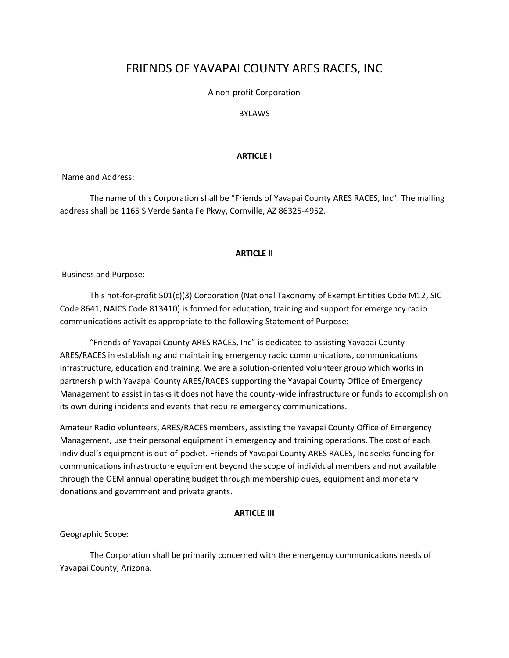# FRIENDS OF YAVAPAI COUNTY ARES RACES, INC

A non-profit Corporation

# BYLAWS

# **ARTICLE I**

Name and Address:

The name of this Corporation shall be "Friends of Yavapai County ARES RACES, Inc". The mailing address shall be 1165 S Verde Santa Fe Pkwy, Cornville, AZ 86325-4952.

# **ARTICLE II**

Business and Purpose:

This not-for-profit 501(c)(3) Corporation (National Taxonomy of Exempt Entities Code M12, SIC Code 8641, NAICS Code 813410) is formed for education, training and support for emergency radio communications activities appropriate to the following Statement of Purpose:

"Friends of Yavapai County ARES RACES, Inc" is dedicated to assisting Yavapai County ARES/RACES in establishing and maintaining emergency radio communications, communications infrastructure, education and training. We are a solution-oriented volunteer group which works in partnership with Yavapai County ARES/RACES supporting the Yavapai County Office of Emergency Management to assist in tasks it does not have the county-wide infrastructure or funds to accomplish on its own during incidents and events that require emergency communications.

Amateur Radio volunteers, ARES/RACES members, assisting the Yavapai County Office of Emergency Management, use their personal equipment in emergency and training operations. The cost of each individual's equipment is out-of-pocket. Friends of Yavapai County ARES RACES, Inc seeks funding for communications infrastructure equipment beyond the scope of individual members and not available through the OEM annual operating budget through membership dues, equipment and monetary donations and government and private grants.

# **ARTICLE III**

Geographic Scope:

The Corporation shall be primarily concerned with the emergency communications needs of Yavapai County, Arizona.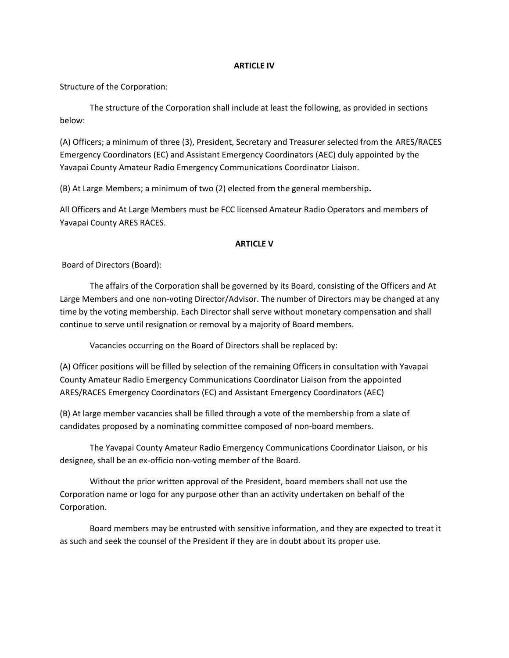# **ARTICLE IV**

Structure of the Corporation:

The structure of the Corporation shall include at least the following, as provided in sections below:

(A) Officers; a minimum of three (3), President, Secretary and Treasurer selected from the ARES/RACES Emergency Coordinators (EC) and Assistant Emergency Coordinators (AEC) duly appointed by the Yavapai County Amateur Radio Emergency Communications Coordinator Liaison.

(B) At Large Members; a minimum of two (2) elected from the general membership*.*

All Officers and At Large Members must be FCC licensed Amateur Radio Operators and members of Yavapai County ARES RACES.

# **ARTICLE V**

Board of Directors (Board):

The affairs of the Corporation shall be governed by its Board, consisting of the Officers and At Large Members and one non-voting Director/Advisor. The number of Directors may be changed at any time by the voting membership. Each Director shall serve without monetary compensation and shall continue to serve until resignation or removal by a majority of Board members.

Vacancies occurring on the Board of Directors shall be replaced by:

(A) Officer positions will be filled by selection of the remaining Officers in consultation with Yavapai County Amateur Radio Emergency Communications Coordinator Liaison from the appointed ARES/RACES Emergency Coordinators (EC) and Assistant Emergency Coordinators (AEC)

(B) At large member vacancies shall be filled through a vote of the membership from a slate of candidates proposed by a nominating committee composed of non-board members.

The Yavapai County Amateur Radio Emergency Communications Coordinator Liaison, or his designee, shall be an ex-officio non-voting member of the Board.

Without the prior written approval of the President, board members shall not use the Corporation name or logo for any purpose other than an activity undertaken on behalf of the Corporation.

Board members may be entrusted with sensitive information, and they are expected to treat it as such and seek the counsel of the President if they are in doubt about its proper use.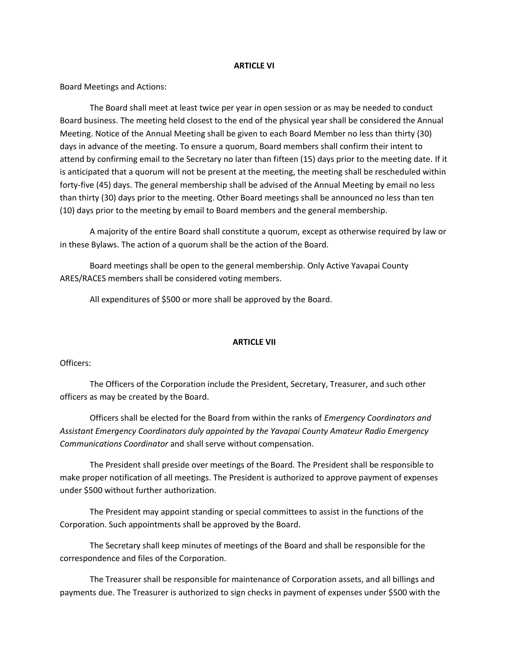#### **ARTICLE VI**

Board Meetings and Actions:

The Board shall meet at least twice per year in open session or as may be needed to conduct Board business. The meeting held closest to the end of the physical year shall be considered the Annual Meeting. Notice of the Annual Meeting shall be given to each Board Member no less than thirty (30) days in advance of the meeting. To ensure a quorum, Board members shall confirm their intent to attend by confirming email to the Secretary no later than fifteen (15) days prior to the meeting date. If it is anticipated that a quorum will not be present at the meeting, the meeting shall be rescheduled within forty-five (45) days. The general membership shall be advised of the Annual Meeting by email no less than thirty (30) days prior to the meeting. Other Board meetings shall be announced no less than ten (10) days prior to the meeting by email to Board members and the general membership.

A majority of the entire Board shall constitute a quorum, except as otherwise required by law or in these Bylaws. The action of a quorum shall be the action of the Board.

Board meetings shall be open to the general membership. Only Active Yavapai County ARES/RACES members shall be considered voting members.

All expenditures of \$500 or more shall be approved by the Board.

#### **ARTICLE VII**

Officers:

The Officers of the Corporation include the President, Secretary, Treasurer, and such other officers as may be created by the Board.

Officers shall be elected for the Board from within the ranks of *Emergency Coordinators and Assistant Emergency Coordinators duly appointed by the Yavapai County Amateur Radio Emergency Communications Coordinator* and shall serve without compensation.

The President shall preside over meetings of the Board. The President shall be responsible to make proper notification of all meetings. The President is authorized to approve payment of expenses under \$500 without further authorization.

The President may appoint standing or special committees to assist in the functions of the Corporation. Such appointments shall be approved by the Board.

The Secretary shall keep minutes of meetings of the Board and shall be responsible for the correspondence and files of the Corporation.

The Treasurer shall be responsible for maintenance of Corporation assets, and all billings and payments due. The Treasurer is authorized to sign checks in payment of expenses under \$500 with the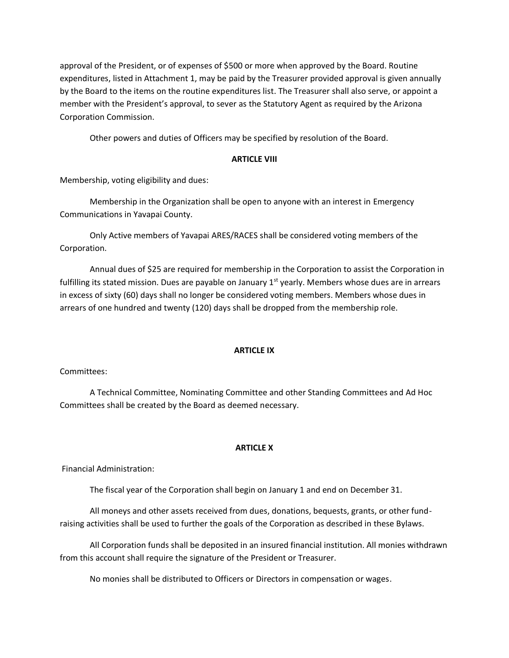approval of the President, or of expenses of \$500 or more when approved by the Board. Routine expenditures, listed in Attachment 1, may be paid by the Treasurer provided approval is given annually by the Board to the items on the routine expenditures list. The Treasurer shall also serve, or appoint a member with the President's approval, to sever as the Statutory Agent as required by the Arizona Corporation Commission.

Other powers and duties of Officers may be specified by resolution of the Board.

# **ARTICLE VIII**

Membership, voting eligibility and dues:

Membership in the Organization shall be open to anyone with an interest in Emergency Communications in Yavapai County.

Only Active members of Yavapai ARES/RACES shall be considered voting members of the Corporation.

Annual dues of \$25 are required for membership in the Corporation to assist the Corporation in fulfilling its stated mission. Dues are payable on January  $1<sup>st</sup>$  yearly. Members whose dues are in arrears in excess of sixty (60) days shall no longer be considered voting members. Members whose dues in arrears of one hundred and twenty (120) days shall be dropped from the membership role.

# **ARTICLE IX**

Committees:

A Technical Committee, Nominating Committee and other Standing Committees and Ad Hoc Committees shall be created by the Board as deemed necessary.

# **ARTICLE X**

Financial Administration:

The fiscal year of the Corporation shall begin on January 1 and end on December 31.

All moneys and other assets received from dues, donations, bequests, grants, or other fundraising activities shall be used to further the goals of the Corporation as described in these Bylaws.

All Corporation funds shall be deposited in an insured financial institution. All monies withdrawn from this account shall require the signature of the President or Treasurer.

No monies shall be distributed to Officers or Directors in compensation or wages.